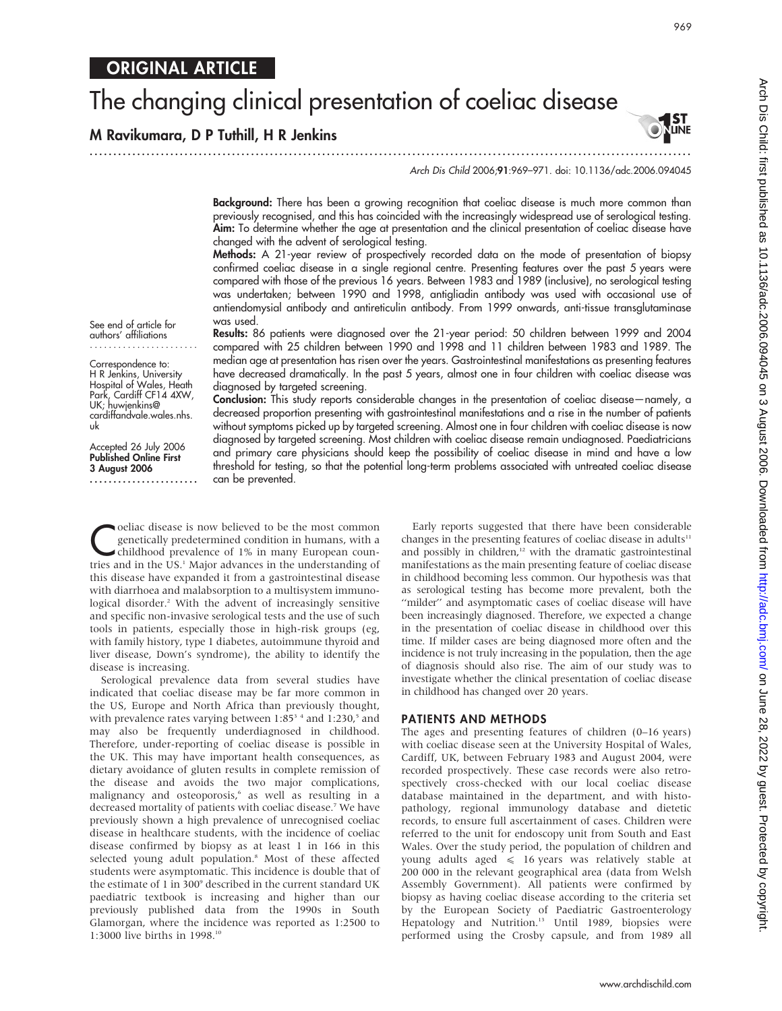# The changing clinical presentation of coeliac disease

.............................................................................................................................. .

## M Ravikumara, D P Tuthill, H R Jenkins

**I ST<br>LINE** 

Arch Dis Child 2006;91:969–971. doi: 10.1136/adc.2006.094045

Background: There has been a growing recognition that coeliac disease is much more common than previously recognised, and this has coincided with the increasingly widespread use of serological testing. Aim: To determine whether the age at presentation and the clinical presentation of coeliac disease have changed with the advent of serological testing.

Methods: A 21-year review of prospectively recorded data on the mode of presentation of biopsy confirmed coeliac disease in a single regional centre. Presenting features over the past 5 years were compared with those of the previous 16 years. Between 1983 and 1989 (inclusive), no serological testing was undertaken; between 1990 and 1998, antigliadin antibody was used with occasional use of antiendomysial antibody and antireticulin antibody. From 1999 onwards, anti-tissue transglutaminase was used.

See end of article for authors' affiliations .......................

Correspondence to: H R Jenkins, University Hospital of Wales, Heath Park, Cardiff CF14 4XW, UK; huwjenkins@ cardiffandvale.wales.nhs. uk

Accepted 26 July 2006 Published Online First 3 August 2006

.......................

Results: 86 patients were diagnosed over the 21-year period: 50 children between 1999 and 2004 compared with 25 children between 1990 and 1998 and 11 children between 1983 and 1989. The median age at presentation has risen over the years. Gastrointestinal manifestations as presenting features have decreased dramatically. In the past 5 years, almost one in four children with coeliac disease was diagnosed by targeted screening.

Conclusion: This study reports considerable changes in the presentation of coeliac disease—namely, a decreased proportion presenting with gastrointestinal manifestations and a rise in the number of patients without symptoms picked up by targeted screening. Almost one in four children with coeliac disease is now diagnosed by targeted screening. Most children with coeliac disease remain undiagnosed. Paediatricians and primary care physicians should keep the possibility of coeliac disease in mind and have a low threshold for testing, so that the potential long-term problems associated with untreated coeliac disease can be prevented.

**C**oeliac disease is now believed to be the most common<br>genetically predetermined condition in humans, with a<br>childhood prevalence of 1% in many European coungenetically predetermined condition in humans, with a childhood prevalence of 1% in many European countries and in the US.<sup>1</sup> Major advances in the understanding of this disease have expanded it from a gastrointestinal disease with diarrhoea and malabsorption to a multisystem immunological disorder.<sup>2</sup> With the advent of increasingly sensitive and specific non-invasive serological tests and the use of such tools in patients, especially those in high-risk groups (eg, with family history, type 1 diabetes, autoimmune thyroid and liver disease, Down's syndrome), the ability to identify the disease is increasing.

Serological prevalence data from several studies have indicated that coeliac disease may be far more common in the US, Europe and North Africa than previously thought, with prevalence rates varying between  $1:85<sup>3</sup>$  4 and  $1:230<sup>5</sup>$  and may also be frequently underdiagnosed in childhood. Therefore, under-reporting of coeliac disease is possible in the UK. This may have important health consequences, as dietary avoidance of gluten results in complete remission of the disease and avoids the two major complications, malignancy and osteoporosis,<sup>6</sup> as well as resulting in a decreased mortality of patients with coeliac disease.<sup>7</sup> We have previously shown a high prevalence of unrecognised coeliac disease in healthcare students, with the incidence of coeliac disease confirmed by biopsy as at least 1 in 166 in this selected young adult population.<sup>8</sup> Most of these affected students were asymptomatic. This incidence is double that of the estimate of 1 in 300° described in the current standard UK paediatric textbook is increasing and higher than our previously published data from the 1990s in South Glamorgan, where the incidence was reported as 1:2500 to 1:3000 live births in 1998.10

Early reports suggested that there have been considerable changes in the presenting features of coeliac disease in adults $11$ and possibly in children, $12$  with the dramatic gastrointestinal manifestations as the main presenting feature of coeliac disease in childhood becoming less common. Our hypothesis was that as serological testing has become more prevalent, both the "milder" and asymptomatic cases of coeliac disease will have been increasingly diagnosed. Therefore, we expected a change in the presentation of coeliac disease in childhood over this time. If milder cases are being diagnosed more often and the incidence is not truly increasing in the population, then the age of diagnosis should also rise. The aim of our study was to investigate whether the clinical presentation of coeliac disease in childhood has changed over 20 years.

#### PATIENTS AND METHODS

The ages and presenting features of children (0–16 years) with coeliac disease seen at the University Hospital of Wales, Cardiff, UK, between February 1983 and August 2004, were recorded prospectively. These case records were also retrospectively cross-checked with our local coeliac disease database maintained in the department, and with histopathology, regional immunology database and dietetic records, to ensure full ascertainment of cases. Children were referred to the unit for endoscopy unit from South and East Wales. Over the study period, the population of children and young adults aged  $\leq 16$  years was relatively stable at 200 000 in the relevant geographical area (data from Welsh Assembly Government). All patients were confirmed by biopsy as having coeliac disease according to the criteria set by the European Society of Paediatric Gastroenterology Hepatology and Nutrition.<sup>13</sup> Until 1989, biopsies were performed using the Crosby capsule, and from 1989 all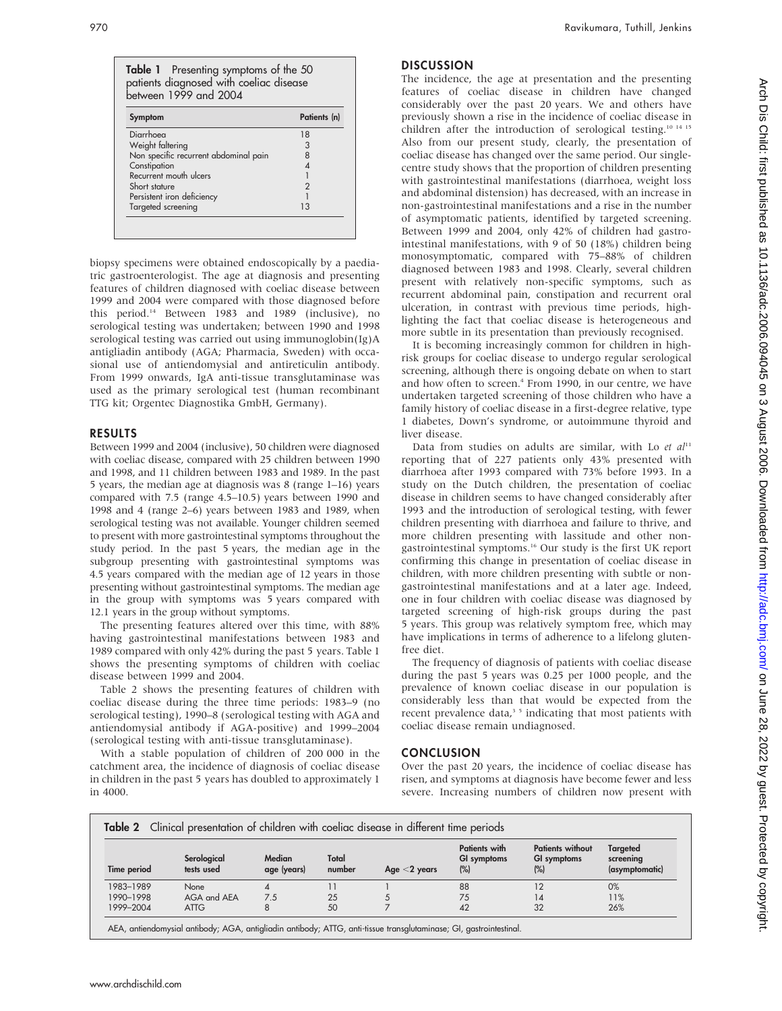Table 1 Presenting symptoms of the 50 patients diagnosed with coeliac disease between 1999 and 2004

| 18<br>3 |
|---------|
|         |
|         |
|         |
|         |
|         |
| 2       |
|         |
| 13      |
|         |
|         |

biopsy specimens were obtained endoscopically by a paediatric gastroenterologist. The age at diagnosis and presenting features of children diagnosed with coeliac disease between 1999 and 2004 were compared with those diagnosed before this period.14 Between 1983 and 1989 (inclusive), no serological testing was undertaken; between 1990 and 1998 serological testing was carried out using immunoglobin(Ig)A antigliadin antibody (AGA; Pharmacia, Sweden) with occasional use of antiendomysial and antireticulin antibody. From 1999 onwards, IgA anti-tissue transglutaminase was used as the primary serological test (human recombinant TTG kit; Orgentec Diagnostika GmbH, Germany).

#### RESULTS

Between 1999 and 2004 (inclusive), 50 children were diagnosed with coeliac disease, compared with 25 children between 1990 and 1998, and 11 children between 1983 and 1989. In the past 5 years, the median age at diagnosis was 8 (range 1–16) years compared with 7.5 (range 4.5–10.5) years between 1990 and 1998 and 4 (range 2–6) years between 1983 and 1989, when serological testing was not available. Younger children seemed to present with more gastrointestinal symptoms throughout the study period. In the past 5 years, the median age in the subgroup presenting with gastrointestinal symptoms was 4.5 years compared with the median age of 12 years in those presenting without gastrointestinal symptoms. The median age in the group with symptoms was 5 years compared with 12.1 years in the group without symptoms.

The presenting features altered over this time, with 88% having gastrointestinal manifestations between 1983 and 1989 compared with only 42% during the past 5 years. Table 1 shows the presenting symptoms of children with coeliac disease between 1999 and 2004.

Table 2 shows the presenting features of children with coeliac disease during the three time periods: 1983–9 (no serological testing), 1990–8 (serological testing with AGA and antiendomysial antibody if AGA-positive) and 1999–2004 (serological testing with anti-tissue transglutaminase).

With a stable population of children of 200 000 in the catchment area, the incidence of diagnosis of coeliac disease in children in the past 5 years has doubled to approximately 1 in 4000.

### **DISCUSSION**

The incidence, the age at presentation and the presenting features of coeliac disease in children have changed considerably over the past 20 years. We and others have previously shown a rise in the incidence of coeliac disease in children after the introduction of serological testing.10 14 15 Also from our present study, clearly, the presentation of coeliac disease has changed over the same period. Our singlecentre study shows that the proportion of children presenting with gastrointestinal manifestations (diarrhoea, weight loss and abdominal distension) has decreased, with an increase in non-gastrointestinal manifestations and a rise in the number of asymptomatic patients, identified by targeted screening. Between 1999 and 2004, only 42% of children had gastrointestinal manifestations, with 9 of 50 (18%) children being monosymptomatic, compared with 75–88% of children diagnosed between 1983 and 1998. Clearly, several children present with relatively non-specific symptoms, such as recurrent abdominal pain, constipation and recurrent oral ulceration, in contrast with previous time periods, highlighting the fact that coeliac disease is heterogeneous and more subtle in its presentation than previously recognised.

It is becoming increasingly common for children in highrisk groups for coeliac disease to undergo regular serological screening, although there is ongoing debate on when to start and how often to screen.<sup>4</sup> From 1990, in our centre, we have undertaken targeted screening of those children who have a family history of coeliac disease in a first-degree relative, type 1 diabetes, Down's syndrome, or autoimmune thyroid and liver disease.

Data from studies on adults are similar, with Lo et  $al<sup>11</sup>$ reporting that of 227 patients only 43% presented with diarrhoea after 1993 compared with 73% before 1993. In a study on the Dutch children, the presentation of coeliac disease in children seems to have changed considerably after 1993 and the introduction of serological testing, with fewer children presenting with diarrhoea and failure to thrive, and more children presenting with lassitude and other nongastrointestinal symptoms.16 Our study is the first UK report confirming this change in presentation of coeliac disease in children, with more children presenting with subtle or nongastrointestinal manifestations and at a later age. Indeed, one in four children with coeliac disease was diagnosed by targeted screening of high-risk groups during the past 5 years. This group was relatively symptom free, which may have implications in terms of adherence to a lifelong glutenfree diet.

The frequency of diagnosis of patients with coeliac disease during the past 5 years was 0.25 per 1000 people, and the prevalence of known coeliac disease in our population is considerably less than that would be expected from the recent prevalence data, $35$  indicating that most patients with coeliac disease remain undiagnosed.

#### **CONCLUSION**

Over the past 20 years, the incidence of coeliac disease has risen, and symptoms at diagnosis have become fewer and less severe. Increasing numbers of children now present with

| Time period | Serological<br>tests used | Median<br>age (years) | Total<br>number | Age $<$ 2 years | Patients with<br>GI symptoms<br>$(\%)$ | <b>Patients without</b><br>GI symptoms<br>$(\%)$ | Targeted<br>screening<br>(asymptomatic) |
|-------------|---------------------------|-----------------------|-----------------|-----------------|----------------------------------------|--------------------------------------------------|-----------------------------------------|
| 1983-1989   | None                      |                       |                 |                 | 88                                     | 12                                               | 0%                                      |
| 1990-1998   | AGA and AEA               | 7.5                   | 25              |                 | 75                                     | 14                                               | 11%                                     |
| 1999-2004   | <b>ATTG</b>               | 8                     | 50              |                 | 42                                     | 32                                               | 26%                                     |